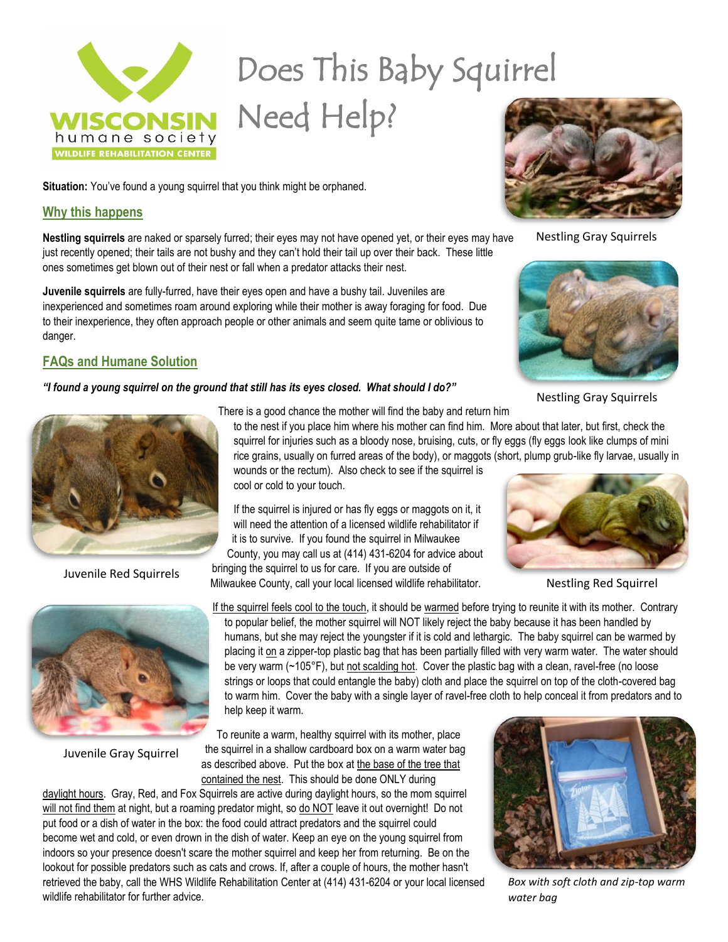

# Does This Baby Squirrel

Need Help?

**Situation:** You've found a young squirrel that you think might be orphaned.

### **Why this happens**

**Nestling squirrels** are naked or sparsely furred; their eyes may not have opened yet, or their eyes may have just recently opened; their tails are not bushy and they can't hold their tail up over their back. These little ones sometimes get blown out of their nest or fall when a predator attacks their nest.

**Juvenile squirrels** are fully-furred, have their eyes open and have a bushy tail. Juveniles are inexperienced and sometimes roam around exploring while their mother is away foraging for food. Due to their inexperience, they often approach people or other animals and seem quite tame or oblivious to danger.

## **FAQs and Humane Solution**

#### *"I found a young squirrel on the ground that still has its eyes closed. What should I do?"*



Nestling Gray Squirrels



Nestling Gray Squirrels



Juvenile Red Squirrels



Juvenile Gray Squirrel

There is a good chance the mother will find the baby and return him

to the nest if you place him where his mother can find him. More about that later, but first, check the squirrel for injuries such as a bloody nose, bruising, cuts, or fly eggs (fly eggs look like clumps of mini rice grains, usually on furred areas of the body), or maggots (short, plump grub-like fly larvae, usually in wounds or the rectum). Also check to see if the squirrel is

cool or cold to your touch.

If the squirrel is injured or has fly eggs or maggots on it, it will need the attention of a licensed wildlife rehabilitator if it is to survive. If you found the squirrel in Milwaukee County, you may call us at (414) 431-6204 for advice about

bringing the squirrel to us for care. If you are outside of Milwaukee County, call your local licensed wildlife rehabilitator.

Nestling Red Squirrel

If the squirrel feels cool to the touch, it should be warmed before trying to reunite it with its mother. Contrary to popular belief, the mother squirrel will NOT likely reject the baby because it has been handled by humans, but she may reject the youngster if it is cold and lethargic. The baby squirrel can be warmed by placing it on a zipper-top plastic bag that has been partially filled with very warm water. The water should be very warm (~105°F), but not scalding hot. Cover the plastic bag with a clean, ravel-free (no loose strings or loops that could entangle the baby) cloth and place the squirrel on top of the cloth-covered bag to warm him. Cover the baby with a single layer of ravel-free cloth to help conceal it from predators and to help keep it warm.

To reunite a warm, healthy squirrel with its mother, place the squirrel in a shallow cardboard box on a warm water bag as described above. Put the box at the base of the tree that contained the nest. This should be done ONLY during

daylight hours. Gray, Red, and Fox Squirrels are active during daylight hours, so the mom squirrel will not find them at night, but a roaming predator might, so do NOT leave it out overnight! Do not put food or a dish of water in the box: the food could attract predators and the squirrel could become wet and cold, or even drown in the dish of water. Keep an eye on the young squirrel from indoors so your presence doesn't scare the mother squirrel and keep her from returning. Be on the lookout for possible predators such as cats and crows. If, after a couple of hours, the mother hasn't retrieved the baby, call the WHS Wildlife Rehabilitation Center at (414) 431-6204 or your local licensed wildlife rehabilitator for further advice.



*Box with soft cloth and zip-top warm water bag*